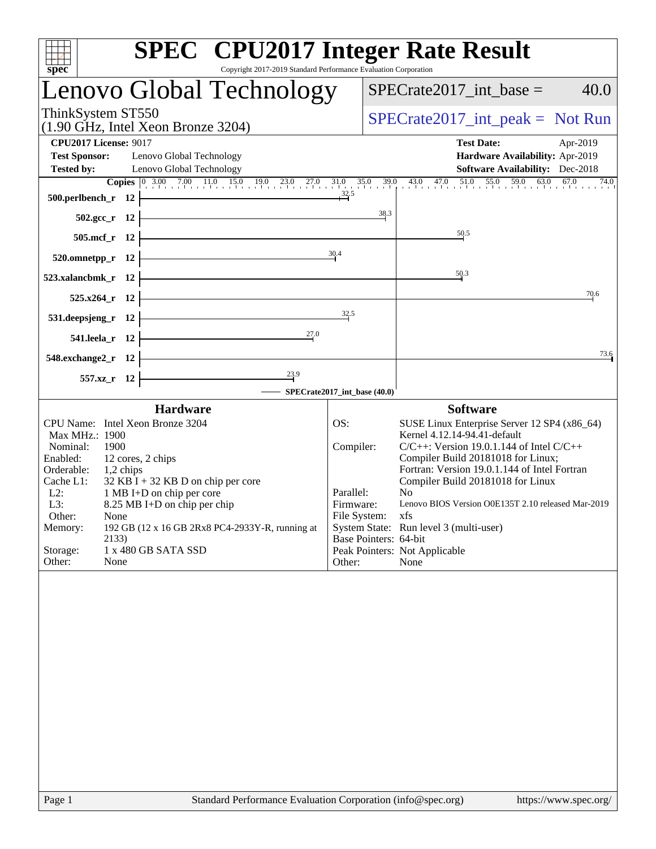| <b>SPEC<sup>®</sup></b> CPU2017 Integer Rate Result                                                                                                                                   |                                     |                                                                                    |  |  |  |
|---------------------------------------------------------------------------------------------------------------------------------------------------------------------------------------|-------------------------------------|------------------------------------------------------------------------------------|--|--|--|
| Copyright 2017-2019 Standard Performance Evaluation Corporation<br>spec <sup>®</sup><br>Lenovo Global Technology                                                                      |                                     | $SPECrate2017\_int\_base =$<br>40.0                                                |  |  |  |
| ThinkSystem ST550<br>$(1.90$ GHz, Intel Xeon Bronze 3204)                                                                                                                             | $SPECrate2017\_int\_peak = Not Run$ |                                                                                    |  |  |  |
| <b>CPU2017 License: 9017</b>                                                                                                                                                          |                                     | <b>Test Date:</b><br>Apr-2019                                                      |  |  |  |
| <b>Test Sponsor:</b><br>Lenovo Global Technology                                                                                                                                      |                                     | Hardware Availability: Apr-2019                                                    |  |  |  |
| <b>Tested by:</b><br>Lenovo Global Technology                                                                                                                                         |                                     | <b>Software Availability:</b> Dec-2018<br>74.0                                     |  |  |  |
| <b>Copies</b> $\begin{bmatrix} 0 & 3.00 & 7.00 & 11.0 & 15.0 & 19.0 & 23.0 & 27.0 & 31.0 & 35.0 & 39.0 & 43.0 & 47.0 & 51.0 & 55.0 & 59.0 & 63.0 \end{bmatrix}$<br>500.perlbench_r 12 |                                     | 67.0                                                                               |  |  |  |
| $502.\text{sec}_r$ 12                                                                                                                                                                 | 38.3                                |                                                                                    |  |  |  |
| 505.mcf_r 12                                                                                                                                                                          |                                     | 50.5                                                                               |  |  |  |
| 520.omnetpp_r 12                                                                                                                                                                      | 30.4                                |                                                                                    |  |  |  |
| 523.xalancbmk_r 12                                                                                                                                                                    |                                     | 50.3                                                                               |  |  |  |
| 525.x264_r 12                                                                                                                                                                         |                                     | 70.6                                                                               |  |  |  |
| 531.deepsjeng_r 12                                                                                                                                                                    | 32.5                                |                                                                                    |  |  |  |
| 27.0<br>541.leela_r 12                                                                                                                                                                |                                     |                                                                                    |  |  |  |
| 548.exchange2_r 12                                                                                                                                                                    |                                     | 73.6                                                                               |  |  |  |
| $\frac{23.9}{2}$<br>557.xz_r 12                                                                                                                                                       |                                     |                                                                                    |  |  |  |
|                                                                                                                                                                                       | - SPECrate2017_int_base (40.0)      |                                                                                    |  |  |  |
| <b>Hardware</b>                                                                                                                                                                       |                                     | <b>Software</b>                                                                    |  |  |  |
| CPU Name: Intel Xeon Bronze 3204<br>Max MHz.: 1900                                                                                                                                    | OS:                                 | SUSE Linux Enterprise Server 12 SP4 (x86_64)<br>Kernel 4.12.14-94.41-default       |  |  |  |
| 1900<br>Nominal:                                                                                                                                                                      | Compiler:                           | $C/C++$ : Version 19.0.1.144 of Intel $C/C++$                                      |  |  |  |
| Enabled:<br>12 cores, 2 chips<br>Orderable:<br>1,2 chips                                                                                                                              |                                     | Compiler Build 20181018 for Linux;<br>Fortran: Version 19.0.1.144 of Intel Fortran |  |  |  |
| Cache L1:<br>$32$ KB I + 32 KB D on chip per core                                                                                                                                     |                                     | Compiler Build 20181018 for Linux                                                  |  |  |  |
| 1 MB I+D on chip per core<br>$L2$ :<br>L3:<br>8.25 MB I+D on chip per chip                                                                                                            | Parallel:<br>Firmware:              | N <sub>0</sub><br>Lenovo BIOS Version O0E135T 2.10 released Mar-2019               |  |  |  |
| Other:<br>None                                                                                                                                                                        | File System:                        | xfs                                                                                |  |  |  |
| Memory:<br>192 GB (12 x 16 GB 2Rx8 PC4-2933Y-R, running at<br>2133)                                                                                                                   | Base Pointers: 64-bit               | System State: Run level 3 (multi-user)                                             |  |  |  |
| Storage:<br>1 x 480 GB SATA SSD<br>Other:<br>None                                                                                                                                     | Other:                              | Peak Pointers: Not Applicable<br>None                                              |  |  |  |
|                                                                                                                                                                                       |                                     |                                                                                    |  |  |  |
|                                                                                                                                                                                       |                                     |                                                                                    |  |  |  |
|                                                                                                                                                                                       |                                     |                                                                                    |  |  |  |
|                                                                                                                                                                                       |                                     |                                                                                    |  |  |  |
|                                                                                                                                                                                       |                                     |                                                                                    |  |  |  |
|                                                                                                                                                                                       |                                     |                                                                                    |  |  |  |
|                                                                                                                                                                                       |                                     |                                                                                    |  |  |  |
|                                                                                                                                                                                       |                                     |                                                                                    |  |  |  |
|                                                                                                                                                                                       |                                     |                                                                                    |  |  |  |
|                                                                                                                                                                                       |                                     |                                                                                    |  |  |  |
|                                                                                                                                                                                       |                                     |                                                                                    |  |  |  |
|                                                                                                                                                                                       |                                     |                                                                                    |  |  |  |
|                                                                                                                                                                                       |                                     |                                                                                    |  |  |  |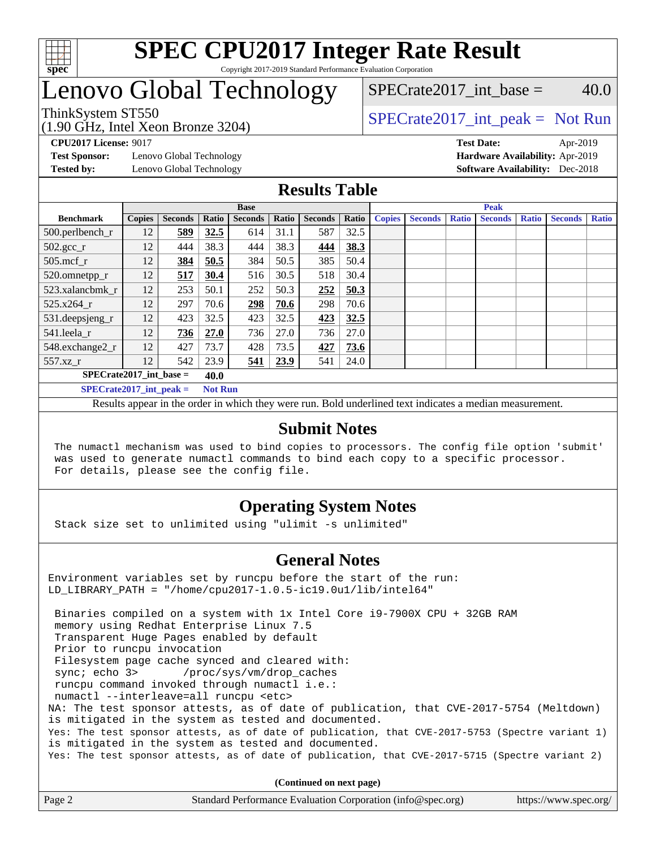

# Lenovo Global Technology

(1.90 GHz, Intel Xeon Bronze 3204)

ThinkSystem ST550  $SPECrate2017$ \_int\_peak = Not Run SPECrate2017 int\_base =  $40.0$ 

**[CPU2017 License:](http://www.spec.org/auto/cpu2017/Docs/result-fields.html#CPU2017License)** 9017 **[Test Date:](http://www.spec.org/auto/cpu2017/Docs/result-fields.html#TestDate)** Apr-2019

**[Test Sponsor:](http://www.spec.org/auto/cpu2017/Docs/result-fields.html#TestSponsor)** Lenovo Global Technology **[Hardware Availability:](http://www.spec.org/auto/cpu2017/Docs/result-fields.html#HardwareAvailability)** Apr-2019 **[Tested by:](http://www.spec.org/auto/cpu2017/Docs/result-fields.html#Testedby)** Lenovo Global Technology **[Software Availability:](http://www.spec.org/auto/cpu2017/Docs/result-fields.html#SoftwareAvailability)** Dec-2018

### **[Results Table](http://www.spec.org/auto/cpu2017/Docs/result-fields.html#ResultsTable)**

|                             | <b>Base</b>   |                |                |                |       | <b>Peak</b>    |       |               |                |              |                |              |                |              |
|-----------------------------|---------------|----------------|----------------|----------------|-------|----------------|-------|---------------|----------------|--------------|----------------|--------------|----------------|--------------|
| <b>Benchmark</b>            | <b>Copies</b> | <b>Seconds</b> | Ratio          | <b>Seconds</b> | Ratio | <b>Seconds</b> | Ratio | <b>Copies</b> | <b>Seconds</b> | <b>Ratio</b> | <b>Seconds</b> | <b>Ratio</b> | <b>Seconds</b> | <b>Ratio</b> |
| 500.perlbench_r             | 12            | 589            | 32.5           | 614            | 31.1  | 587            | 32.5  |               |                |              |                |              |                |              |
| $502.\text{gcc}_r$          | 12            | 444            | 38.3           | 444            | 38.3  | 444            | 38.3  |               |                |              |                |              |                |              |
| $505$ .mcf r                | 12            | 384            | 50.5           | 384            | 50.5  | 385            | 50.4  |               |                |              |                |              |                |              |
| 520.omnetpp_r               | 12            | 517            | 30.4           | 516            | 30.5  | 518            | 30.4  |               |                |              |                |              |                |              |
| 523.xalancbmk_r             | 12            | 253            | 50.1           | 252            | 50.3  | 252            | 50.3  |               |                |              |                |              |                |              |
| 525.x264 r                  | 12            | 297            | 70.6           | 298            | 70.6  | 298            | 70.6  |               |                |              |                |              |                |              |
| 531.deepsjeng_r             | 12            | 423            | 32.5           | 423            | 32.5  | 423            | 32.5  |               |                |              |                |              |                |              |
| 541.leela r                 | 12            | 736            | 27.0           | 736            | 27.0  | 736            | 27.0  |               |                |              |                |              |                |              |
| 548.exchange2_r             | 12            | 427            | 73.7           | 428            | 73.5  | 427            | 73.6  |               |                |              |                |              |                |              |
| 557.xz r                    | 12            | 542            | 23.9           | 541            | 23.9  | 541            | 24.0  |               |                |              |                |              |                |              |
| $SPECrate2017$ int base =   |               |                | 40.0           |                |       |                |       |               |                |              |                |              |                |              |
| $SPECrate2017\_int\_peak =$ |               |                | <b>Not Run</b> |                |       |                |       |               |                |              |                |              |                |              |

Results appear in the [order in which they were run](http://www.spec.org/auto/cpu2017/Docs/result-fields.html#RunOrder). Bold underlined text [indicates a median measurement](http://www.spec.org/auto/cpu2017/Docs/result-fields.html#Median).

### **[Submit Notes](http://www.spec.org/auto/cpu2017/Docs/result-fields.html#SubmitNotes)**

 The numactl mechanism was used to bind copies to processors. The config file option 'submit' was used to generate numactl commands to bind each copy to a specific processor. For details, please see the config file.

## **[Operating System Notes](http://www.spec.org/auto/cpu2017/Docs/result-fields.html#OperatingSystemNotes)**

Stack size set to unlimited using "ulimit -s unlimited"

### **[General Notes](http://www.spec.org/auto/cpu2017/Docs/result-fields.html#GeneralNotes)**

Environment variables set by runcpu before the start of the run: LD\_LIBRARY\_PATH = "/home/cpu2017-1.0.5-ic19.0u1/lib/intel64"

 Binaries compiled on a system with 1x Intel Core i9-7900X CPU + 32GB RAM memory using Redhat Enterprise Linux 7.5 Transparent Huge Pages enabled by default Prior to runcpu invocation Filesystem page cache synced and cleared with: sync; echo 3> /proc/sys/vm/drop\_caches runcpu command invoked through numactl i.e.: numactl --interleave=all runcpu <etc> NA: The test sponsor attests, as of date of publication, that CVE-2017-5754 (Meltdown) is mitigated in the system as tested and documented. Yes: The test sponsor attests, as of date of publication, that CVE-2017-5753 (Spectre variant 1) is mitigated in the system as tested and documented. Yes: The test sponsor attests, as of date of publication, that CVE-2017-5715 (Spectre variant 2)

**(Continued on next page)**

| Page 2 | Standard Performance Evaluation Corporation (info@spec.org) | https://www.spec.org/ |
|--------|-------------------------------------------------------------|-----------------------|
|--------|-------------------------------------------------------------|-----------------------|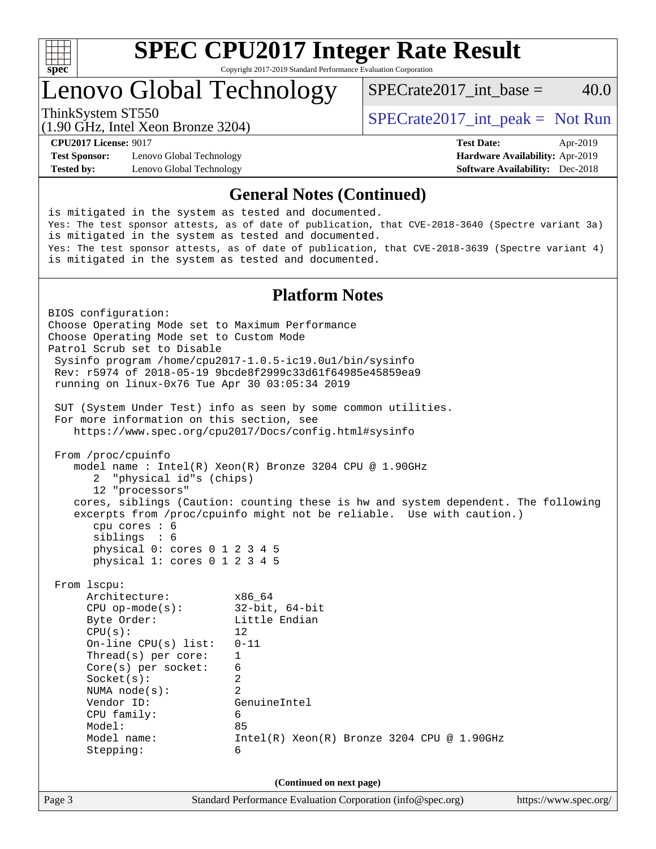

# **[SPEC CPU2017 Integer Rate Result](http://www.spec.org/auto/cpu2017/Docs/result-fields.html#SPECCPU2017IntegerRateResult)**

Copyright 2017-2019 Standard Performance Evaluation Corporation

## Lenovo Global Technology

ThinkSystem ST550  $SPECrate2017$ \_int\_peak = Not Run

SPECrate2017 int\_base =  $40.0$ 

(1.90 GHz, Intel Xeon Bronze 3204)

**[Test Sponsor:](http://www.spec.org/auto/cpu2017/Docs/result-fields.html#TestSponsor)** Lenovo Global Technology **[Hardware Availability:](http://www.spec.org/auto/cpu2017/Docs/result-fields.html#HardwareAvailability)** Apr-2019

**[CPU2017 License:](http://www.spec.org/auto/cpu2017/Docs/result-fields.html#CPU2017License)** 9017 **[Test Date:](http://www.spec.org/auto/cpu2017/Docs/result-fields.html#TestDate)** Apr-2019

**[Tested by:](http://www.spec.org/auto/cpu2017/Docs/result-fields.html#Testedby)** Lenovo Global Technology **[Software Availability:](http://www.spec.org/auto/cpu2017/Docs/result-fields.html#SoftwareAvailability)** Dec-2018

#### **[General Notes \(Continued\)](http://www.spec.org/auto/cpu2017/Docs/result-fields.html#GeneralNotes)**

is mitigated in the system as tested and documented. Yes: The test sponsor attests, as of date of publication, that CVE-2018-3640 (Spectre variant 3a) is mitigated in the system as tested and documented. Yes: The test sponsor attests, as of date of publication, that CVE-2018-3639 (Spectre variant 4) is mitigated in the system as tested and documented.

### **[Platform Notes](http://www.spec.org/auto/cpu2017/Docs/result-fields.html#PlatformNotes)**

Page 3 Standard Performance Evaluation Corporation [\(info@spec.org\)](mailto:info@spec.org) <https://www.spec.org/> BIOS configuration: Choose Operating Mode set to Maximum Performance Choose Operating Mode set to Custom Mode Patrol Scrub set to Disable Sysinfo program /home/cpu2017-1.0.5-ic19.0u1/bin/sysinfo Rev: r5974 of 2018-05-19 9bcde8f2999c33d61f64985e45859ea9 running on linux-0x76 Tue Apr 30 03:05:34 2019 SUT (System Under Test) info as seen by some common utilities. For more information on this section, see <https://www.spec.org/cpu2017/Docs/config.html#sysinfo> From /proc/cpuinfo model name : Intel(R) Xeon(R) Bronze 3204 CPU @ 1.90GHz 2 "physical id"s (chips) 12 "processors" cores, siblings (Caution: counting these is hw and system dependent. The following excerpts from /proc/cpuinfo might not be reliable. Use with caution.) cpu cores : 6 siblings : 6 physical 0: cores 0 1 2 3 4 5 physical 1: cores 0 1 2 3 4 5 From lscpu: Architecture: x86\_64 CPU op-mode(s): 32-bit, 64-bit<br>Byte Order: Little Endian Little Endian  $CPU(s):$  12 On-line CPU(s) list: 0-11 Thread(s) per core: 1 Core(s) per socket: 6 Socket(s): 2 NUMA node(s): 2 Vendor ID: GenuineIntel CPU family: 6 Model: 85 Model name: Intel(R) Xeon(R) Bronze 3204 CPU @ 1.90GHz Stepping: 6 **(Continued on next page)**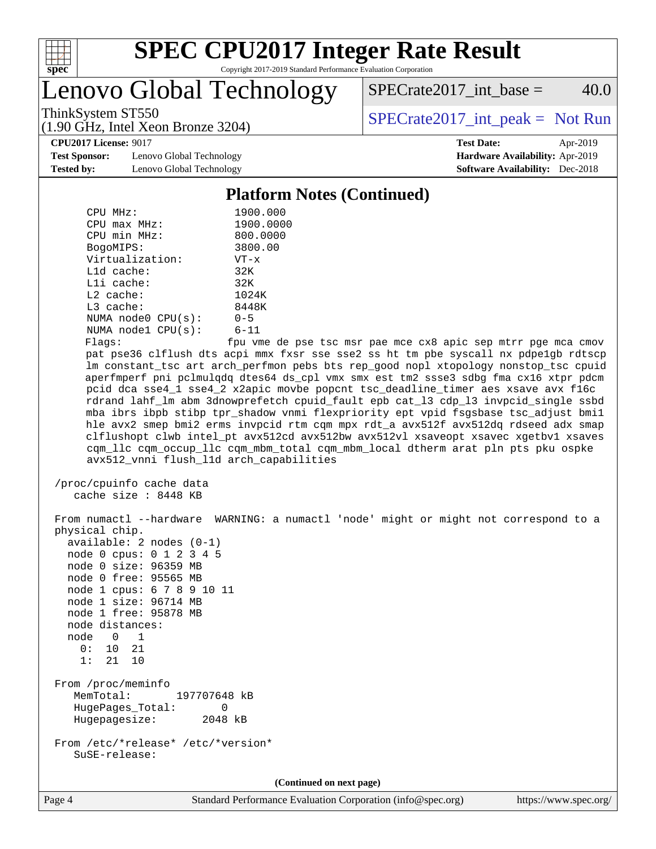

Lenovo Global Technology

 $SPECTate2017\_int\_base = 40.0$ 

(1.90 GHz, Intel Xeon Bronze 3204)

ThinkSystem ST550  $SPECrate2017$ \_int\_peak = Not Run

**[CPU2017 License:](http://www.spec.org/auto/cpu2017/Docs/result-fields.html#CPU2017License)** 9017 **[Test Date:](http://www.spec.org/auto/cpu2017/Docs/result-fields.html#TestDate)** Apr-2019

**[Test Sponsor:](http://www.spec.org/auto/cpu2017/Docs/result-fields.html#TestSponsor)** Lenovo Global Technology **[Hardware Availability:](http://www.spec.org/auto/cpu2017/Docs/result-fields.html#HardwareAvailability)** Apr-2019 **[Tested by:](http://www.spec.org/auto/cpu2017/Docs/result-fields.html#Testedby)** Lenovo Global Technology **[Software Availability:](http://www.spec.org/auto/cpu2017/Docs/result-fields.html#SoftwareAvailability)** Dec-2018

## **[Platform Notes \(Continued\)](http://www.spec.org/auto/cpu2017/Docs/result-fields.html#PlatformNotes)**

| CPU MHz:                | 1900.000                 |
|-------------------------|--------------------------|
| $CPU$ max $MHz$ :       | 1900.0000                |
| CPU min MHz:            | 800.0000                 |
| BogoMIPS:               | 3800.00                  |
| Virtualization:         | $VT - x$                 |
| L1d cache:              | 32K                      |
| $L1i$ cache:            | 32K                      |
| $L2$ cache:             | 1024K                    |
| $L3$ cache:             | 8448K                    |
| NUMA $node0$ $CPU(s)$ : | $0 - 5$                  |
| NUMA $node1$ $CPU(s)$ : | $6 - 11$                 |
| --                      | $\overline{\phantom{0}}$ |

Flags: fpu vme de pse tsc msr pae mce cx8 apic sep mtrr pge mca cmov pat pse36 clflush dts acpi mmx fxsr sse sse2 ss ht tm pbe syscall nx pdpe1gb rdtscp lm constant\_tsc art arch\_perfmon pebs bts rep\_good nopl xtopology nonstop\_tsc cpuid aperfmperf pni pclmulqdq dtes64 ds\_cpl vmx smx est tm2 ssse3 sdbg fma cx16 xtpr pdcm pcid dca sse4\_1 sse4\_2 x2apic movbe popcnt tsc\_deadline\_timer aes xsave avx f16c rdrand lahf\_lm abm 3dnowprefetch cpuid\_fault epb cat\_l3 cdp\_l3 invpcid\_single ssbd mba ibrs ibpb stibp tpr\_shadow vnmi flexpriority ept vpid fsgsbase tsc\_adjust bmi1 hle avx2 smep bmi2 erms invpcid rtm cqm mpx rdt\_a avx512f avx512dq rdseed adx smap clflushopt clwb intel\_pt avx512cd avx512bw avx512vl xsaveopt xsavec xgetbv1 xsaves cqm\_llc cqm\_occup\_llc cqm\_mbm\_total cqm\_mbm\_local dtherm arat pln pts pku ospke avx512\_vnni flush\_l1d arch\_capabilities

```
 /proc/cpuinfo cache data
   cache size : 8448 KB
```
 From numactl --hardware WARNING: a numactl 'node' might or might not correspond to a physical chip. available: 2 nodes (0-1) node 0 cpus: 0 1 2 3 4 5 node 0 size: 96359 MB node 0 free: 95565 MB node 1 cpus: 6 7 8 9 10 11 node 1 size: 96714 MB node 1 free: 95878 MB node distances: node 0 1  $0: 10 21$  1: 21 10 From /proc/meminfo MemTotal: 197707648 kB HugePages\_Total: 0 Hugepagesize: 2048 kB From /etc/\*release\* /etc/\*version\* SuSE-release:

**(Continued on next page)**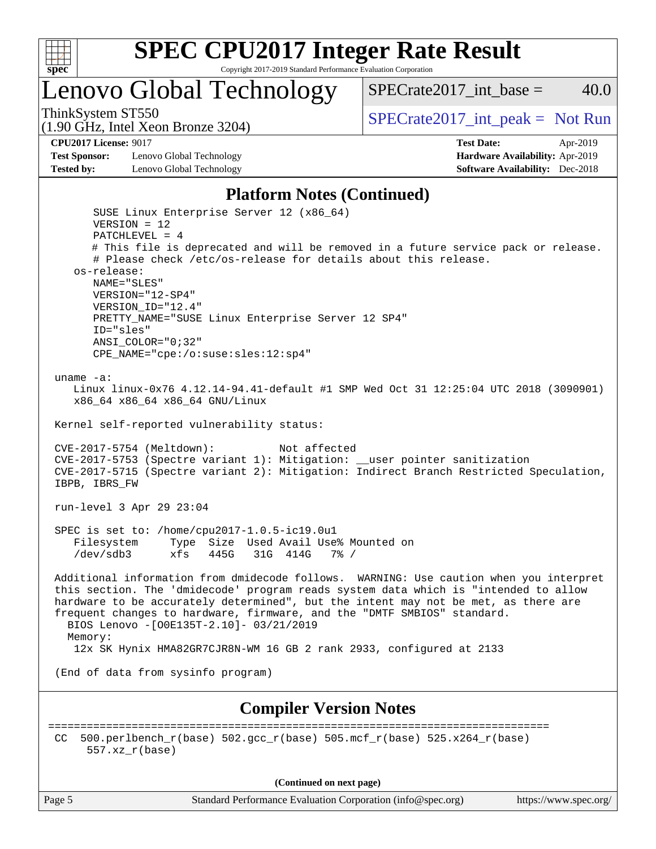

# Lenovo Global Technology

ThinkSystem ST550  $SPECrate2017$ \_int\_peak = Not Run

SPECrate2017 int\_base =  $40.0$ 

(1.90 GHz, Intel Xeon Bronze 3204)

#### **[CPU2017 License:](http://www.spec.org/auto/cpu2017/Docs/result-fields.html#CPU2017License)** 9017 **[Test Date:](http://www.spec.org/auto/cpu2017/Docs/result-fields.html#TestDate)** Apr-2019

**[Test Sponsor:](http://www.spec.org/auto/cpu2017/Docs/result-fields.html#TestSponsor)** Lenovo Global Technology **[Hardware Availability:](http://www.spec.org/auto/cpu2017/Docs/result-fields.html#HardwareAvailability)** Apr-2019 **[Tested by:](http://www.spec.org/auto/cpu2017/Docs/result-fields.html#Testedby)** Lenovo Global Technology **[Software Availability:](http://www.spec.org/auto/cpu2017/Docs/result-fields.html#SoftwareAvailability)** Dec-2018

#### **[Platform Notes \(Continued\)](http://www.spec.org/auto/cpu2017/Docs/result-fields.html#PlatformNotes)**

 SUSE Linux Enterprise Server 12 (x86\_64) VERSION = 12 PATCHLEVEL = 4 # This file is deprecated and will be removed in a future service pack or release. # Please check /etc/os-release for details about this release. os-release: NAME="SLES" VERSION="12-SP4" VERSION\_ID="12.4" PRETTY\_NAME="SUSE Linux Enterprise Server 12 SP4" ID="sles" ANSI\_COLOR="0;32" CPE\_NAME="cpe:/o:suse:sles:12:sp4" uname -a: Linux linux-0x76 4.12.14-94.41-default #1 SMP Wed Oct 31 12:25:04 UTC 2018 (3090901) x86\_64 x86\_64 x86\_64 GNU/Linux Kernel self-reported vulnerability status: CVE-2017-5754 (Meltdown): Not affected CVE-2017-5753 (Spectre variant 1): Mitigation: \_\_user pointer sanitization CVE-2017-5715 (Spectre variant 2): Mitigation: Indirect Branch Restricted Speculation, IBPB, IBRS\_FW run-level 3 Apr 29 23:04 SPEC is set to: /home/cpu2017-1.0.5-ic19.0u1 Filesystem Type Size Used Avail Use% Mounted on /dev/sdb3 xfs 445G 31G 414G 7% / Additional information from dmidecode follows. WARNING: Use caution when you interpret this section. The 'dmidecode' program reads system data which is "intended to allow hardware to be accurately determined", but the intent may not be met, as there are frequent changes to hardware, firmware, and the "DMTF SMBIOS" standard. BIOS Lenovo -[O0E135T-2.10]- 03/21/2019 Memory: 12x SK Hynix HMA82GR7CJR8N-WM 16 GB 2 rank 2933, configured at 2133 (End of data from sysinfo program) **[Compiler Version Notes](http://www.spec.org/auto/cpu2017/Docs/result-fields.html#CompilerVersionNotes)** ============================================================================== CC 500.perlbench\_r(base)  $502.\text{gcc\_r}$ (base)  $505.\text{mcf\_r}$ (base)  $525.\text{x}264\text{r}$ (base) 557.xz\_r(base)

**(Continued on next page)**

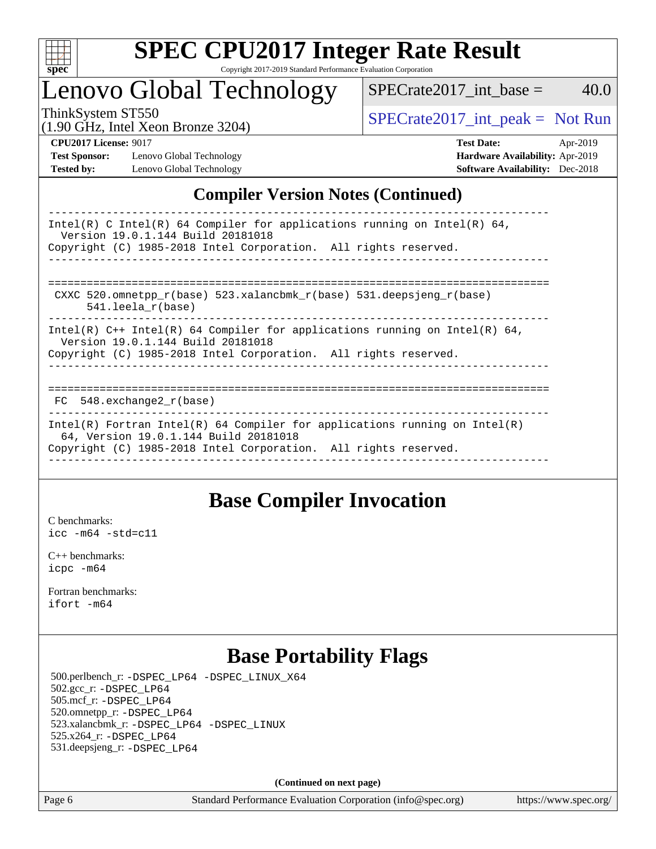

## Lenovo Global Technology

ThinkSystem ST550<br>(1.00 GHz, Intel Yogn Bronze 3204) [SPECrate2017\\_int\\_peak =](http://www.spec.org/auto/cpu2017/Docs/result-fields.html#SPECrate2017intpeak) Not Run

 $SPECTate2017\_int\_base = 40.0$ 

(1.90 GHz, Intel Xeon Bronze 3204)

**[Tested by:](http://www.spec.org/auto/cpu2017/Docs/result-fields.html#Testedby)** Lenovo Global Technology **[Software Availability:](http://www.spec.org/auto/cpu2017/Docs/result-fields.html#SoftwareAvailability)** Dec-2018

**[CPU2017 License:](http://www.spec.org/auto/cpu2017/Docs/result-fields.html#CPU2017License)** 9017 **[Test Date:](http://www.spec.org/auto/cpu2017/Docs/result-fields.html#TestDate)** Apr-2019 **[Test Sponsor:](http://www.spec.org/auto/cpu2017/Docs/result-fields.html#TestSponsor)** Lenovo Global Technology **[Hardware Availability:](http://www.spec.org/auto/cpu2017/Docs/result-fields.html#HardwareAvailability)** Apr-2019

## **[Compiler Version Notes \(Continued\)](http://www.spec.org/auto/cpu2017/Docs/result-fields.html#CompilerVersionNotes)**

| Intel(R) C Intel(R) 64 Compiler for applications running on Intel(R) 64,<br>Version 19.0.1.144 Build 20181018<br>Copyright (C) 1985-2018 Intel Corporation. All rights reserved.       |
|----------------------------------------------------------------------------------------------------------------------------------------------------------------------------------------|
| CXXC 520.omnetpp $r(base)$ 523.xalancbmk $r(base)$ 531.deepsjeng $r(base)$<br>$541.$ leela r(base)                                                                                     |
| Intel(R) $C++$ Intel(R) 64 Compiler for applications running on Intel(R) 64,<br>Version 19.0.1.144 Build 20181018<br>Copyright (C) 1985-2018 Intel Corporation. All rights reserved.   |
| $FC$ 548. exchange 2 $r(base)$                                                                                                                                                         |
| Intel(R) Fortran Intel(R) 64 Compiler for applications running on Intel(R)<br>64, Version 19.0.1.144 Build 20181018<br>Copyright (C) 1985-2018 Intel Corporation. All rights reserved. |

## **[Base Compiler Invocation](http://www.spec.org/auto/cpu2017/Docs/result-fields.html#BaseCompilerInvocation)**

[C benchmarks](http://www.spec.org/auto/cpu2017/Docs/result-fields.html#Cbenchmarks): [icc -m64 -std=c11](http://www.spec.org/cpu2017/results/res2019q2/cpu2017-20190528-14852.flags.html#user_CCbase_intel_icc_64bit_c11_33ee0cdaae7deeeab2a9725423ba97205ce30f63b9926c2519791662299b76a0318f32ddfffdc46587804de3178b4f9328c46fa7c2b0cd779d7a61945c91cd35)

[C++ benchmarks:](http://www.spec.org/auto/cpu2017/Docs/result-fields.html#CXXbenchmarks) [icpc -m64](http://www.spec.org/cpu2017/results/res2019q2/cpu2017-20190528-14852.flags.html#user_CXXbase_intel_icpc_64bit_4ecb2543ae3f1412ef961e0650ca070fec7b7afdcd6ed48761b84423119d1bf6bdf5cad15b44d48e7256388bc77273b966e5eb805aefd121eb22e9299b2ec9d9)

[Fortran benchmarks](http://www.spec.org/auto/cpu2017/Docs/result-fields.html#Fortranbenchmarks): [ifort -m64](http://www.spec.org/cpu2017/results/res2019q2/cpu2017-20190528-14852.flags.html#user_FCbase_intel_ifort_64bit_24f2bb282fbaeffd6157abe4f878425411749daecae9a33200eee2bee2fe76f3b89351d69a8130dd5949958ce389cf37ff59a95e7a40d588e8d3a57e0c3fd751)

## **[Base Portability Flags](http://www.spec.org/auto/cpu2017/Docs/result-fields.html#BasePortabilityFlags)**

 500.perlbench\_r: [-DSPEC\\_LP64](http://www.spec.org/cpu2017/results/res2019q2/cpu2017-20190528-14852.flags.html#b500.perlbench_r_basePORTABILITY_DSPEC_LP64) [-DSPEC\\_LINUX\\_X64](http://www.spec.org/cpu2017/results/res2019q2/cpu2017-20190528-14852.flags.html#b500.perlbench_r_baseCPORTABILITY_DSPEC_LINUX_X64) 502.gcc\_r: [-DSPEC\\_LP64](http://www.spec.org/cpu2017/results/res2019q2/cpu2017-20190528-14852.flags.html#suite_basePORTABILITY502_gcc_r_DSPEC_LP64) 505.mcf\_r: [-DSPEC\\_LP64](http://www.spec.org/cpu2017/results/res2019q2/cpu2017-20190528-14852.flags.html#suite_basePORTABILITY505_mcf_r_DSPEC_LP64) 520.omnetpp\_r: [-DSPEC\\_LP64](http://www.spec.org/cpu2017/results/res2019q2/cpu2017-20190528-14852.flags.html#suite_basePORTABILITY520_omnetpp_r_DSPEC_LP64) 523.xalancbmk\_r: [-DSPEC\\_LP64](http://www.spec.org/cpu2017/results/res2019q2/cpu2017-20190528-14852.flags.html#suite_basePORTABILITY523_xalancbmk_r_DSPEC_LP64) [-DSPEC\\_LINUX](http://www.spec.org/cpu2017/results/res2019q2/cpu2017-20190528-14852.flags.html#b523.xalancbmk_r_baseCXXPORTABILITY_DSPEC_LINUX) 525.x264\_r: [-DSPEC\\_LP64](http://www.spec.org/cpu2017/results/res2019q2/cpu2017-20190528-14852.flags.html#suite_basePORTABILITY525_x264_r_DSPEC_LP64) 531.deepsjeng\_r: [-DSPEC\\_LP64](http://www.spec.org/cpu2017/results/res2019q2/cpu2017-20190528-14852.flags.html#suite_basePORTABILITY531_deepsjeng_r_DSPEC_LP64)

**(Continued on next page)**

Page 6 Standard Performance Evaluation Corporation [\(info@spec.org\)](mailto:info@spec.org) <https://www.spec.org/>